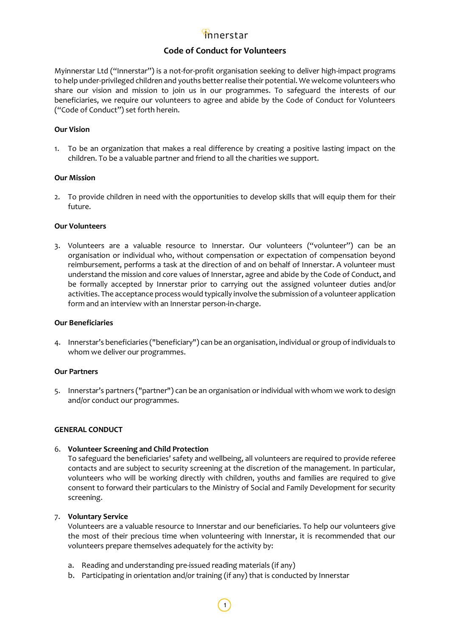## **Code of Conduct for Volunteers**

Myinnerstar Ltd ("Innerstar") is a not-for-profit organisation seeking to deliver high-impact programs to help under-privileged children and youths better realise their potential. We welcome volunteers who share our vision and mission to join us in our programmes. To safeguard the interests of our beneficiaries, we require our volunteers to agree and abide by the Code of Conduct for Volunteers ("Code of Conduct") set forth herein.

## **Our Vision**

1. To be an organization that makes a real difference by creating a positive lasting impact on the children. To be a valuable partner and friend to all the charities we support.

## **Our Mission**

2. To provide children in need with the opportunities to develop skills that will equip them for their future.

## **Our Volunteers**

3. Volunteers are a valuable resource to Innerstar. Our volunteers ("volunteer") can be an organisation or individual who, without compensation or expectation of compensation beyond reimbursement, performs a task at the direction of and on behalf of Innerstar. A volunteer must understand the mission and core values of Innerstar, agree and abide by the Code of Conduct, and be formally accepted by Innerstar prior to carrying out the assigned volunteer duties and/or activities. The acceptance process would typically involve the submission of a volunteer application form and an interview with an Innerstar person-in-charge.

## **Our Beneficiaries**

4. Innerstar's beneficiaries ("beneficiary") can be an organisation, individual or group of individuals to whom we deliver our programmes.

## **Our Partners**

5. Innerstar's partners ("partner") can be an organisation or individual with whom we work to design and/or conduct our programmes.

## **GENERAL CONDUCT**

## 6. **Volunteer Screening and Child Protection**

To safeguard the beneficiaries' safety and wellbeing, all volunteers are required to provide referee contacts and are subject to security screening at the discretion of the management. In particular, volunteers who will be working directly with children, youths and families are required to give consent to forward their particulars to the Ministry of Social and Family Development for security screening.

## 7. **Voluntary Service**

Volunteers are a valuable resource to Innerstar and our beneficiaries. To help our volunteers give the most of their precious time when volunteering with Innerstar, it is recommended that our volunteers prepare themselves adequately for the activity by:

- a. Reading and understanding pre-issued reading materials (if any)
- b. Participating in orientation and/or training (if any) that is conducted by Innerstar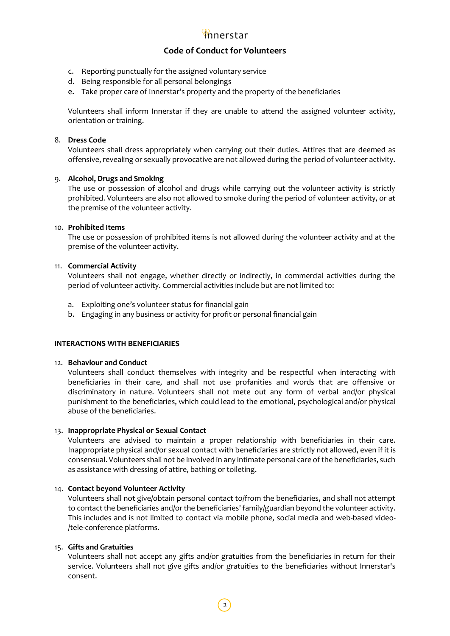## **Code of Conduct for Volunteers**

- c. Reporting punctually for the assigned voluntary service
- d. Being responsible for all personal belongings
- e. Take proper care of Innerstar's property and the property of the beneficiaries

Volunteers shall inform Innerstar if they are unable to attend the assigned volunteer activity, orientation or training.

#### 8. **Dress Code**

Volunteers shall dress appropriately when carrying out their duties. Attires that are deemed as offensive, revealing or sexually provocative are not allowed during the period of volunteer activity.

## 9. **Alcohol, Drugs and Smoking**

The use or possession of alcohol and drugs while carrying out the volunteer activity is strictly prohibited. Volunteers are also not allowed to smoke during the period of volunteer activity, or at the premise of the volunteer activity.

### 10. **Prohibited Items**

The use or possession of prohibited items is not allowed during the volunteer activity and at the premise of the volunteer activity.

#### 11. **Commercial Activity**

Volunteers shall not engage, whether directly or indirectly, in commercial activities during the period of volunteer activity. Commercial activities include but are not limited to:

- a. Exploiting one's volunteer status for financial gain
- b. Engaging in any business or activity for profit or personal financial gain

## **INTERACTIONS WITH BENEFICIARIES**

#### 12. **Behaviour and Conduct**

Volunteers shall conduct themselves with integrity and be respectful when interacting with beneficiaries in their care, and shall not use profanities and words that are offensive or discriminatory in nature. Volunteers shall not mete out any form of verbal and/or physical punishment to the beneficiaries, which could lead to the emotional, psychological and/or physical abuse of the beneficiaries.

## 13. **Inappropriate Physical or Sexual Contact**

Volunteers are advised to maintain a proper relationship with beneficiaries in their care. Inappropriate physical and/or sexual contact with beneficiaries are strictly not allowed, even if it is consensual. Volunteers shall not be involved in any intimate personal care of the beneficiaries, such as assistance with dressing of attire, bathing or toileting.

#### 14. **Contact beyond Volunteer Activity**

Volunteers shall not give/obtain personal contact to/from the beneficiaries, and shall not attempt to contact the beneficiaries and/or the beneficiaries' family/guardian beyond the volunteer activity. This includes and is not limited to contact via mobile phone, social media and web-based video- /tele-conference platforms.

#### 15. **Gifts and Gratuities**

Volunteers shall not accept any gifts and/or gratuities from the beneficiaries in return for their service. Volunteers shall not give gifts and/or gratuities to the beneficiaries without Innerstar's consent.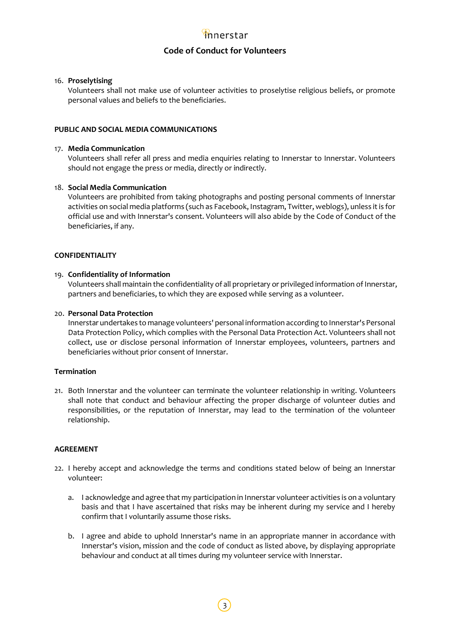## **Code of Conduct for Volunteers**

## 16. **Proselytising**

Volunteers shall not make use of volunteer activities to proselytise religious beliefs, or promote personal values and beliefs to the beneficiaries.

## **PUBLIC AND SOCIAL MEDIA COMMUNICATIONS**

### 17. **Media Communication**

Volunteers shall refer all press and media enquiries relating to Innerstar to Innerstar. Volunteers should not engage the press or media, directly or indirectly.

## 18. **Social Media Communication**

Volunteers are prohibited from taking photographs and posting personal comments of Innerstar activities on social media platforms (such as Facebook, Instagram, Twitter, weblogs), unless it is for official use and with Innerstar's consent. Volunteers will also abide by the Code of Conduct of the beneficiaries, if any.

#### **CONFIDENTIALITY**

#### 19. **Confidentiality of Information**

Volunteers shall maintain the confidentiality of all proprietary or privileged information of Innerstar, partners and beneficiaries, to which they are exposed while serving as a volunteer.

#### 20. **Personal Data Protection**

Innerstar undertakes to manage volunteers' personal information according to Innerstar's Personal Data Protection Policy, which complies with the Personal Data Protection Act. Volunteers shall not collect, use or disclose personal information of Innerstar employees, volunteers, partners and beneficiaries without prior consent of Innerstar.

## **Termination**

21. Both Innerstar and the volunteer can terminate the volunteer relationship in writing. Volunteers shall note that conduct and behaviour affecting the proper discharge of volunteer duties and responsibilities, or the reputation of Innerstar, may lead to the termination of the volunteer relationship.

#### **AGREEMENT**

- 22. I hereby accept and acknowledge the terms and conditions stated below of being an Innerstar volunteer:
	- a. I acknowledge and agree that my participation in Innerstar volunteer activities is on a voluntary basis and that I have ascertained that risks may be inherent during my service and I hereby confirm that I voluntarily assume those risks.
	- b. I agree and abide to uphold Innerstar's name in an appropriate manner in accordance with Innerstar's vision, mission and the code of conduct as listed above, by displaying appropriate behaviour and conduct at all times during my volunteer service with Innerstar.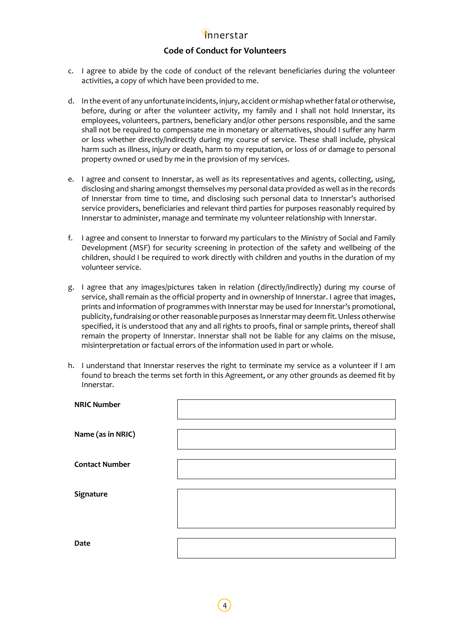## **Code of Conduct for Volunteers**

- c. I agree to abide by the code of conduct of the relevant beneficiaries during the volunteer activities, a copy of which have been provided to me.
- d. In the event of any unfortunate incidents, injury, accident or mishap whether fatal or otherwise, before, during or after the volunteer activity, my family and I shall not hold Innerstar, its employees, volunteers, partners, beneficiary and/or other persons responsible, and the same shall not be required to compensate me in monetary or alternatives, should I suffer any harm or loss whether directly/indirectly during my course of service. These shall include, physical harm such as illness, injury or death, harm to my reputation, or loss of or damage to personal property owned or used by me in the provision of my services.
- e. I agree and consent to Innerstar, as well as its representatives and agents, collecting, using, disclosing and sharing amongst themselves my personal data provided as well as in the records of Innerstar from time to time, and disclosing such personal data to Innerstar's authorised service providers, beneficiaries and relevant third parties for purposes reasonably required by Innerstar to administer, manage and terminate my volunteer relationship with Innerstar.
- f. I agree and consent to Innerstar to forward my particulars to the Ministry of Social and Family Development (MSF) for security screening in protection of the safety and wellbeing of the children, should I be required to work directly with children and youths in the duration of my volunteer service.
- g. I agree that any images/pictures taken in relation (directly/indirectly) during my course of service, shall remain as the official property and in ownership of Innerstar. I agree that images, prints and information of programmes with Innerstar may be used for Innerstar's promotional, publicity, fundraising or other reasonable purposes as Innerstar may deem fit. Unless otherwise specified, it is understood that any and all rights to proofs, final or sample prints, thereof shall remain the property of Innerstar. Innerstar shall not be liable for any claims on the misuse, misinterpretation or factual errors of the information used in part or whole.
- h. I understand that Innerstar reserves the right to terminate my service as a volunteer if I am found to breach the terms set forth in this Agreement, or any other grounds as deemed fit by Innerstar.

| <b>NRIC Number</b>    |  |
|-----------------------|--|
| Name (as in NRIC)     |  |
| <b>Contact Number</b> |  |
| Signature             |  |
|                       |  |
| Date                  |  |